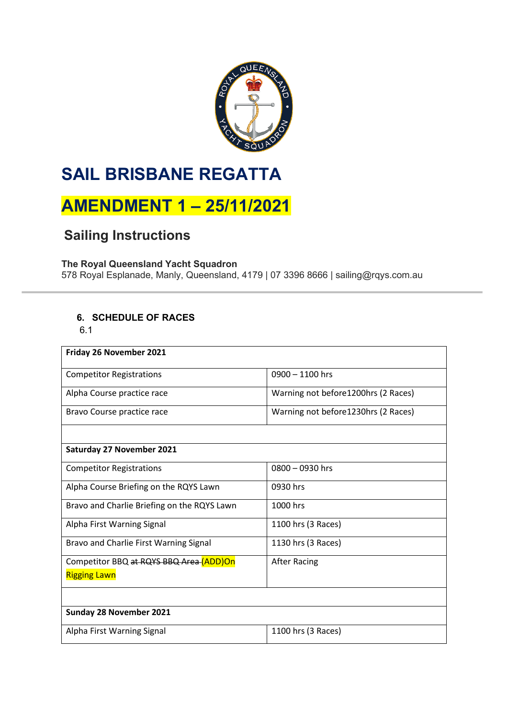

# **SAIL BRISBANE REGATTA**

## **AMENDMENT 1 – 25/11/2021**

### **Sailing Instructions**

#### **The Royal Queensland Yacht Squadron**

578 Royal Esplanade, Manly, Queensland, 4179 | 07 3396 8666 | sailing@rqys.com.au

#### **6. SCHEDULE OF RACES**

6.1

| Friday 26 November 2021                     |                                      |  |  |  |
|---------------------------------------------|--------------------------------------|--|--|--|
| <b>Competitor Registrations</b>             | $0900 - 1100$ hrs                    |  |  |  |
| Alpha Course practice race                  | Warning not before1200hrs (2 Races)  |  |  |  |
| Bravo Course practice race                  | Warning not before 1230hrs (2 Races) |  |  |  |
|                                             |                                      |  |  |  |
| Saturday 27 November 2021                   |                                      |  |  |  |
| <b>Competitor Registrations</b>             | $0800 - 0930$ hrs                    |  |  |  |
| Alpha Course Briefing on the RQYS Lawn      | 0930 hrs                             |  |  |  |
| Bravo and Charlie Briefing on the RQYS Lawn | 1000 hrs                             |  |  |  |
| Alpha First Warning Signal                  | 1100 hrs (3 Races)                   |  |  |  |
| Bravo and Charlie First Warning Signal      | 1130 hrs (3 Races)                   |  |  |  |
| Competitor BBQ at RQYS BBQ Area (ADD)On     | <b>After Racing</b>                  |  |  |  |
| <b>Rigging Lawn</b>                         |                                      |  |  |  |
|                                             |                                      |  |  |  |
| <b>Sunday 28 November 2021</b>              |                                      |  |  |  |
| Alpha First Warning Signal                  | 1100 hrs (3 Races)                   |  |  |  |